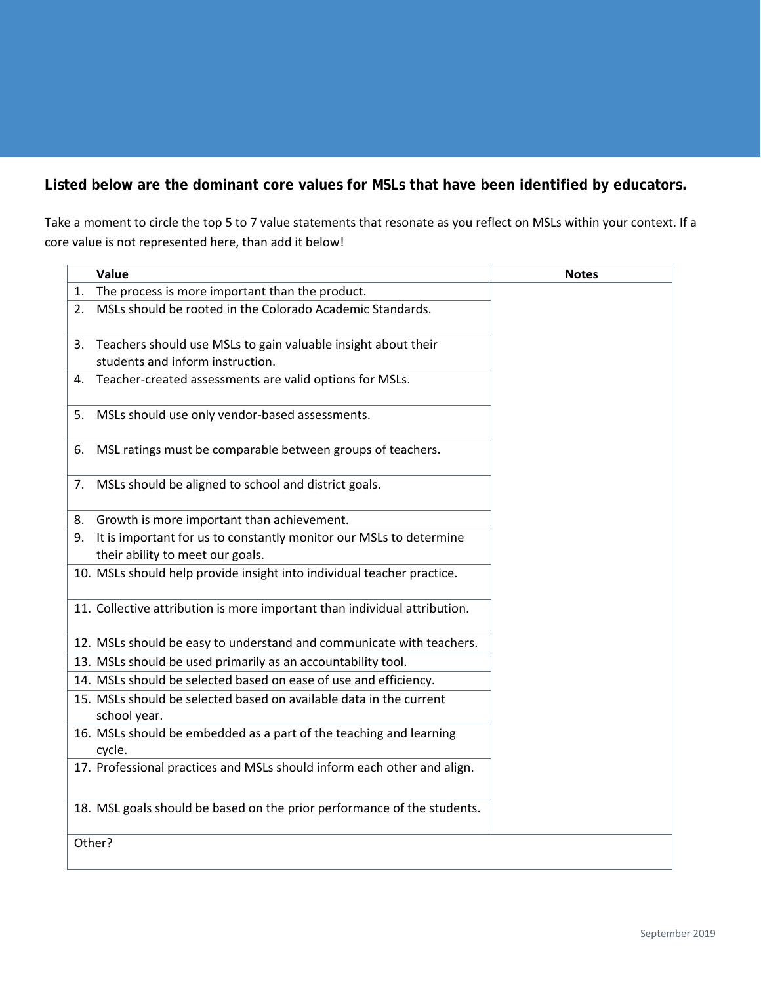**Listed below are the dominant core values for MSLs that have been identified by educators.** 

Take a moment to circle the top 5 to 7 value statements that resonate as you reflect on MSLs within your context. If a core value is not represented here, than add it below!

|    | Value                                                                                             | <b>Notes</b> |
|----|---------------------------------------------------------------------------------------------------|--------------|
| 1. | The process is more important than the product.                                                   |              |
| 2. | MSLs should be rooted in the Colorado Academic Standards.                                         |              |
| 3. | Teachers should use MSLs to gain valuable insight about their<br>students and inform instruction. |              |
| 4. | Teacher-created assessments are valid options for MSLs.                                           |              |
| 5. | MSLs should use only vendor-based assessments.                                                    |              |
| 6. | MSL ratings must be comparable between groups of teachers.                                        |              |
| 7. | MSLs should be aligned to school and district goals.                                              |              |
| 8. | Growth is more important than achievement.                                                        |              |
|    | 9. It is important for us to constantly monitor our MSLs to determine                             |              |
|    | their ability to meet our goals.                                                                  |              |
|    | 10. MSLs should help provide insight into individual teacher practice.                            |              |
|    | 11. Collective attribution is more important than individual attribution.                         |              |
|    | 12. MSLs should be easy to understand and communicate with teachers.                              |              |
|    | 13. MSLs should be used primarily as an accountability tool.                                      |              |
|    | 14. MSLs should be selected based on ease of use and efficiency.                                  |              |
|    | 15. MSLs should be selected based on available data in the current<br>school year.                |              |
|    | 16. MSLs should be embedded as a part of the teaching and learning<br>cycle.                      |              |
|    | 17. Professional practices and MSLs should inform each other and align.                           |              |
|    | 18. MSL goals should be based on the prior performance of the students.                           |              |
|    | Other?                                                                                            |              |